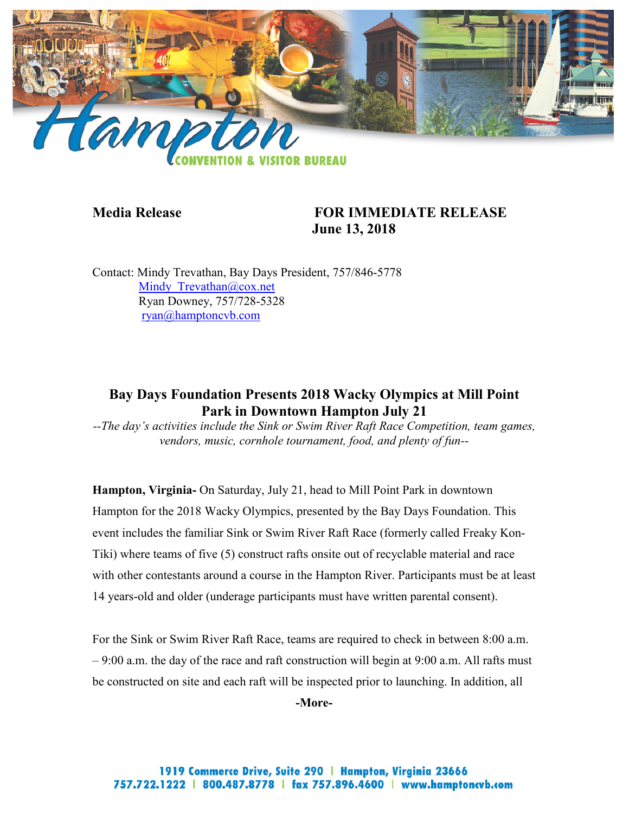

# **Media Release FOR IMMEDIATE RELEASE June 13, 2018**

Contact: Mindy Trevathan, Bay Days President, 757/846-5778 Mindy Trevathan@cox.net Ryan Downey, 757/728-5328 [ryan@hamptoncvb.com](mailto:ryan@hamptoncvb.com)

# **Bay Days Foundation Presents 2018 Wacky Olympics at Mill Point Park in Downtown Hampton July 21**

*--The day's activities include the Sink or Swim River Raft Race Competition, team games, vendors, music, cornhole tournament, food, and plenty of fun--*

**Hampton, Virginia-** On Saturday, July 21, head to Mill Point Park in downtown Hampton for the 2018 Wacky Olympics, presented by the Bay Days Foundation. This event includes the familiar Sink or Swim River Raft Race (formerly called Freaky Kon-Tiki) where teams of five (5) construct rafts onsite out of recyclable material and race with other contestants around a course in the Hampton River. Participants must be at least 14 years-old and older (underage participants must have written parental consent).

For the Sink or Swim River Raft Race, teams are required to check in between 8:00 a.m. – 9:00 a.m. the day of the race and raft construction will begin at 9:00 a.m. All rafts must be constructed on site and each raft will be inspected prior to launching. In addition, all

**-More-**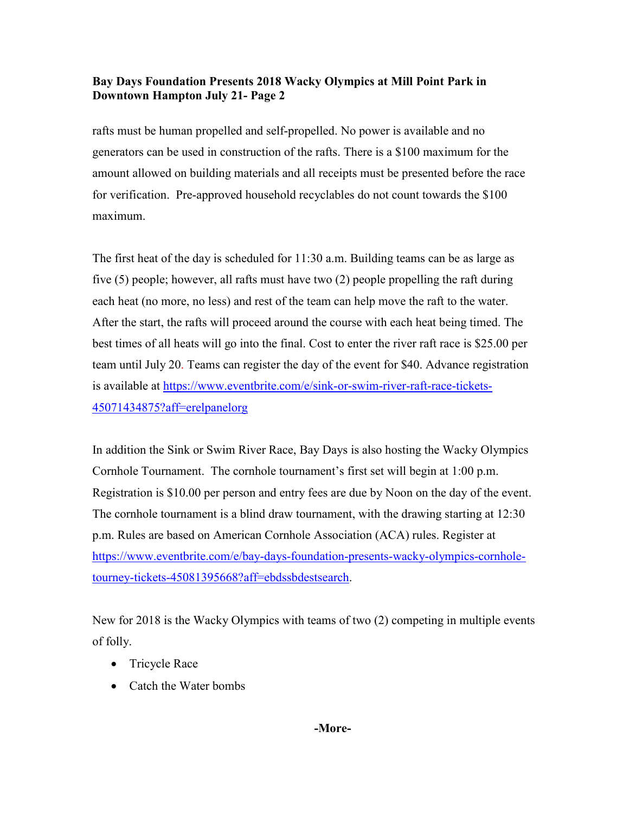rafts must be human propelled and self-propelled. No power is available and no generators can be used in construction of the rafts. There is a \$100 maximum for the amount allowed on building materials and all receipts must be presented before the race for verification. Pre-approved household recyclables do not count towards the \$100 maximum.

The first heat of the day is scheduled for 11:30 a.m. Building teams can be as large as five (5) people; however, all rafts must have two (2) people propelling the raft during each heat (no more, no less) and rest of the team can help move the raft to the water. After the start, the rafts will proceed around the course with each heat being timed. The best times of all heats will go into the final. Cost to enter the river raft race is \$25.00 per team until July 20. Teams can register the day of the event for \$40. Advance registration is available at [https://www.eventbrite.com/e/sink-or-swim-river-raft-race-tickets-](https://www.eventbrite.com/e/sink-or-swim-river-raft-race-tickets-45071434875?aff=erelpanelorg)[45071434875?aff=erelpanelorg](https://www.eventbrite.com/e/sink-or-swim-river-raft-race-tickets-45071434875?aff=erelpanelorg)

In addition the Sink or Swim River Race, Bay Days is also hosting the Wacky Olympics Cornhole Tournament. The cornhole tournament's first set will begin at 1:00 p.m. Registration is \$10.00 per person and entry fees are due by Noon on the day of the event. The cornhole tournament is a blind draw tournament, with the drawing starting at 12:30 p.m. Rules are based on American Cornhole Association (ACA) rules. Register at [https://www.eventbrite.com/e/bay-days-foundation-presents-wacky-olympics-cornhole](https://www.eventbrite.com/e/bay-days-foundation-presents-wacky-olympics-cornhole-tourney-tickets-45081395668?aff=ebdssbdestsearch)[tourney-tickets-45081395668?aff=ebdssbdestsearch.](https://www.eventbrite.com/e/bay-days-foundation-presents-wacky-olympics-cornhole-tourney-tickets-45081395668?aff=ebdssbdestsearch)

New for 2018 is the Wacky Olympics with teams of two (2) competing in multiple events of folly.

- Tricycle Race
- Catch the Water bombs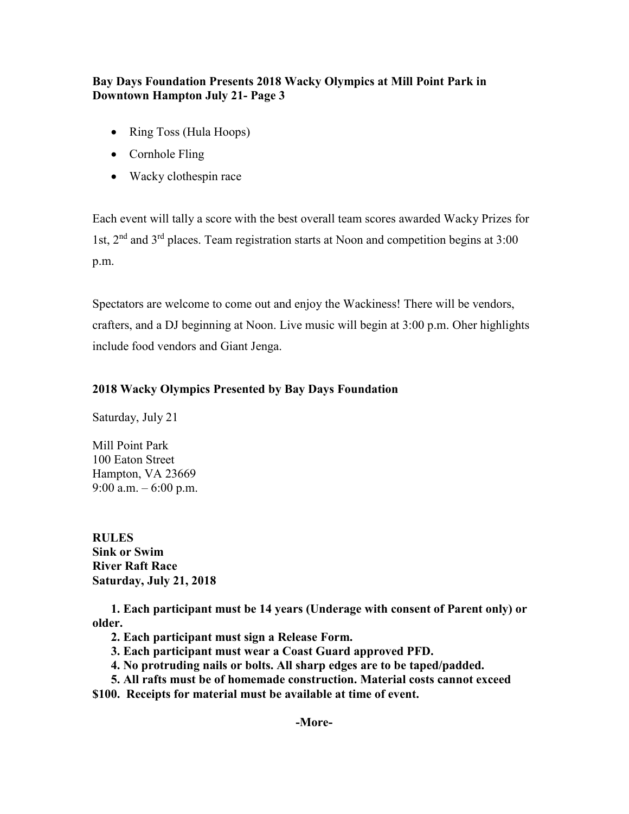- Ring Toss (Hula Hoops)
- Cornhole Fling
- Wacky clothespin race

Each event will tally a score with the best overall team scores awarded Wacky Prizes for 1st, 2nd and 3rd places. Team registration starts at Noon and competition begins at 3:00 p.m.

Spectators are welcome to come out and enjoy the Wackiness! There will be vendors, crafters, and a DJ beginning at Noon. Live music will begin at 3:00 p.m. Oher highlights include food vendors and Giant Jenga.

### **2018 Wacky Olympics Presented by Bay Days Foundation**

Saturday, July 21

Mill Point Park 100 Eaton Street Hampton, VA 23669 9:00 a.m.  $-6:00$  p.m.

**RULES Sink or Swim River Raft Race Saturday, July 21, 2018**

 **1. Each participant must be 14 years (Underage with consent of Parent only) or older.**

- **2. Each participant must sign a Release Form.**
- **3. Each participant must wear a Coast Guard approved PFD.**
- **4. No protruding nails or bolts. All sharp edges are to be taped/padded.**
- **5. All rafts must be of homemade construction. Material costs cannot exceed**

**\$100. Receipts for material must be available at time of event.**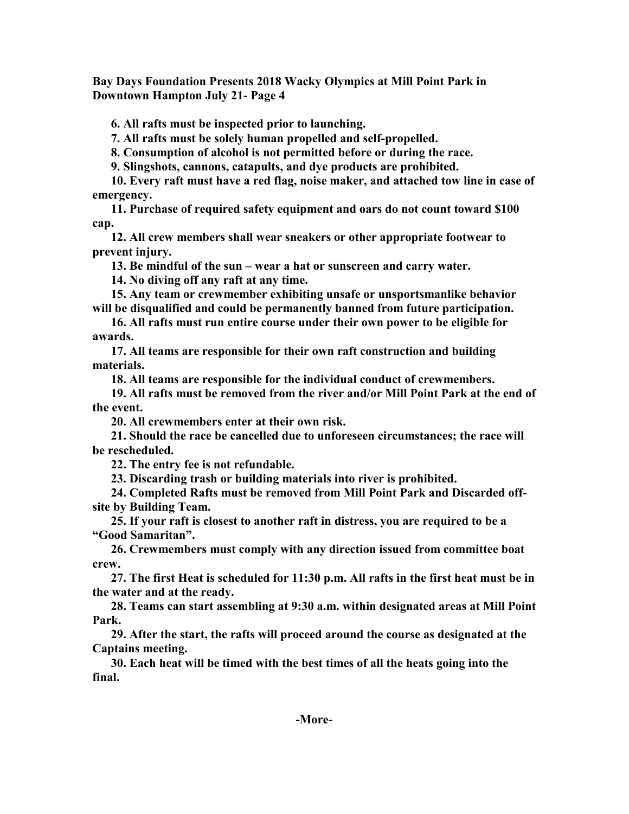**6. All rafts must be inspected prior to launching.**

 **7. All rafts must be solely human propelled and self-propelled.**

 **8. Consumption of alcohol is not permitted before or during the race.**

 **9. Slingshots, cannons, catapults, and dye products are prohibited.**

 **10. Every raft must have a red flag, noise maker, and attached tow line in case of emergency.**

 **11. Purchase of required safety equipment and oars do not count toward \$100 cap.**

 **12. All crew members shall wear sneakers or other appropriate footwear to prevent injury.**

 **13. Be mindful of the sun – wear a hat or sunscreen and carry water.**

 **14. No diving off any raft at any time.**

 **15. Any team or crewmember exhibiting unsafe or unsportsmanlike behavior will be disqualified and could be permanently banned from future participation.**

 **16. All rafts must run entire course under their own power to be eligible for awards.**

 **17. All teams are responsible for their own raft construction and building materials.**

 **18. All teams are responsible for the individual conduct of crewmembers.**

 **19. All rafts must be removed from the river and/or Mill Point Park at the end of the event.**

 **20. All crewmembers enter at their own risk.**

 **21. Should the race be cancelled due to unforeseen circumstances; the race will be rescheduled.**

 **22. The entry fee is not refundable.**

 **23. Discarding trash or building materials into river is prohibited.**

 **24. Completed Rafts must be removed from Mill Point Park and Discarded offsite by Building Team.** 

 **25. If your raft is closest to another raft in distress, you are required to be a "Good Samaritan".**

 **26. Crewmembers must comply with any direction issued from committee boat crew.**

 **27. The first Heat is scheduled for 11:30 p.m. All rafts in the first heat must be in the water and at the ready.**

 **28. Teams can start assembling at 9:30 a.m. within designated areas at Mill Point Park.**

 **29. After the start, the rafts will proceed around the course as designated at the Captains meeting.** 

 **30. Each heat will be timed with the best times of all the heats going into the final.**